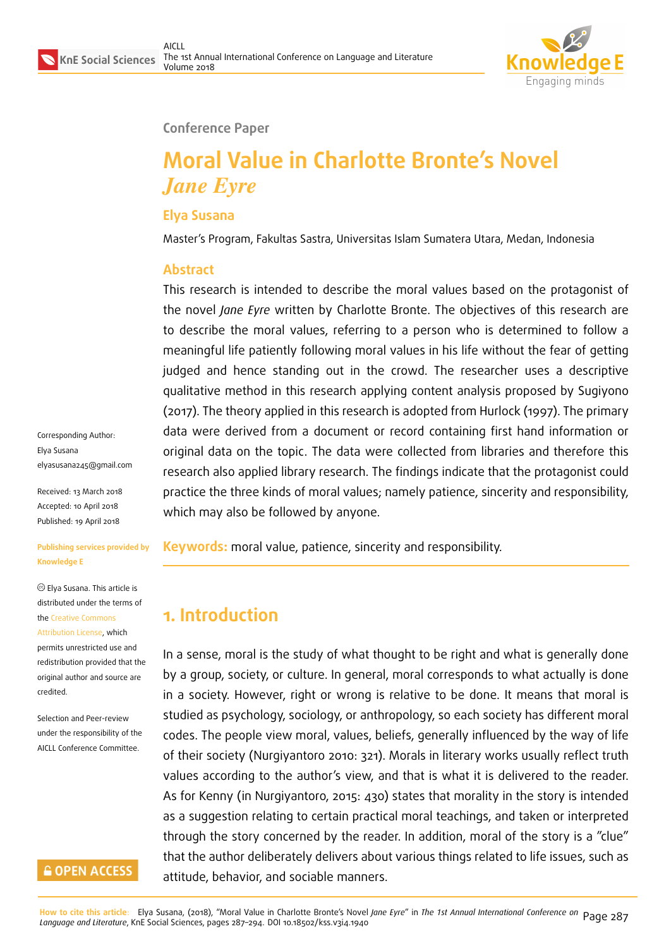

#### **Conference Paper**

# **Moral Value in Charlotte Bronte's Novel** *Jane Eyre*

#### **Elya Susana**

Master's Program, Fakultas Sastra, Universitas Islam Sumatera Utara, Medan, Indonesia

#### **Abstract**

This research is intended to describe the moral values based on the protagonist of the novel *Jane Eyre* written by Charlotte Bronte. The objectives of this research are to describe the moral values, referring to a person who is determined to follow a meaningful life patiently following moral values in his life without the fear of getting judged and hence standing out in the crowd. The researcher uses a descriptive qualitative method in this research applying content analysis proposed by Sugiyono (2017). The theory applied in this research is adopted from Hurlock (1997). The primary data were derived from a document or record containing first hand information or original data on the topic. The data were collected from libraries and therefore this research also applied library research. The findings indicate that the protagonist could practice the three kinds of moral values; namely patience, sincerity and responsibility, which may also be followed by anyone.

**Keywords:** moral value, patience, sincerity and responsibility.

## **1. Introduction**

In a sense, moral is the study of what thought to be right and what is generally done by a group, society, or culture. In general, moral corresponds to what actually is done in a society. However, right or wrong is relative to be done. It means that moral is studied as psychology, sociology, or anthropology, so each society has different moral codes. The people view moral, values, beliefs, generally influenced by the way of life of their society (Nurgiyantoro 2010: 321). Morals in literary works usually reflect truth values according to the author's view, and that is what it is delivered to the reader. As for Kenny (in Nurgiyantoro, 2015: 430) states that morality in the story is intended as a suggestion relating to certain practical moral teachings, and taken or interpreted through the story concerned by the reader. In addition, moral of the story is a "clue" that the author deliberately delivers about various things related to life issues, such as attitude, behavior, and sociable manners.

Corresponding Author: Elya Susana elyasusana245@gmail.com

Received: 13 March 2018 Accepted: 10 April 2018 [Published: 19 April 2018](mailto:elyasusana245@gmail.com)

#### **Publishing services provided by Knowledge E**

Elya Susana. This article is distributed under the terms of the Creative Commons Attribution License, which permits unrestricted use and redistribution provided that the ori[ginal author and sou](https://creativecommons.org/licenses/by/4.0/)rce are [credited.](https://creativecommons.org/licenses/by/4.0/)

Selection and Peer-review under the responsibility of the AICLL Conference Committee.

### **GOPEN ACCESS**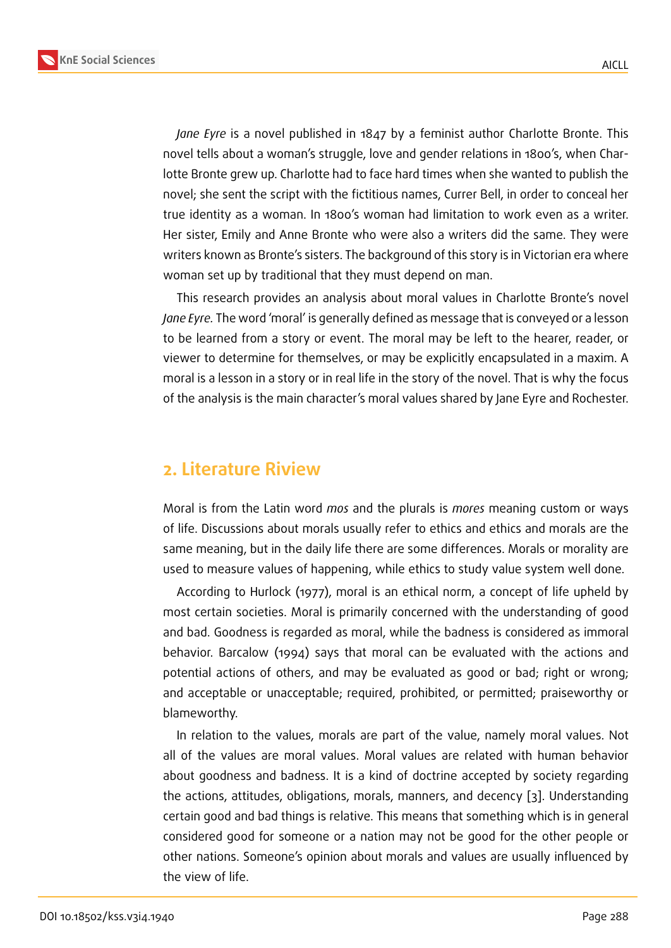*Jane Eyre* is a novel published in 1847 by a feminist author Charlotte Bronte. This novel tells about a woman's struggle, love and gender relations in 1800's, when Charlotte Bronte grew up. Charlotte had to face hard times when she wanted to publish the novel; she sent the script with the fictitious names, Currer Bell, in order to conceal her true identity as a woman. In 1800's woman had limitation to work even as a writer. Her sister, Emily and Anne Bronte who were also a writers did the same. They were writers known as Bronte's sisters. The background of this story is in Victorian era where woman set up by traditional that they must depend on man.

This research provides an analysis about moral values in Charlotte Bronte's novel *Jane Eyre.* The word 'moral' is generally defined as message that is conveyed or a lesson to be learned from a story or event. The moral may be left to the hearer, reader, or viewer to determine for themselves, or may be explicitly encapsulated in a maxim. A moral is a lesson in a story or in real life in the story of the novel. That is why the focus of the analysis is the main character's moral values shared by Jane Eyre and Rochester.

### **2. Literature Riview**

Moral is from the Latin word *mos* and the plurals is *mores* meaning custom or ways of life. Discussions about morals usually refer to ethics and ethics and morals are the same meaning, but in the daily life there are some differences. Morals or morality are used to measure values of happening, while ethics to study value system well done.

According to Hurlock (1977), moral is an ethical norm, a concept of life upheld by most certain societies. Moral is primarily concerned with the understanding of good and bad. Goodness is regarded as moral, while the badness is considered as immoral behavior. Barcalow (1994) says that moral can be evaluated with the actions and potential actions of others, and may be evaluated as good or bad; right or wrong; and acceptable or unacceptable; required, prohibited, or permitted; praiseworthy or blameworthy.

In relation to the values, morals are part of the value, namely moral values. Not all of the values are moral values. Moral values are related with human behavior about goodness and badness. It is a kind of doctrine accepted by society regarding the actions, attitudes, obligations, morals, manners, and decency [3]. Understanding certain good and bad things is relative. This means that something which is in general considered good for someone or a nation may not be good for the other people or other nations. Someone's opinion about morals and values are usu[a](#page-6-0)lly influenced by the view of life.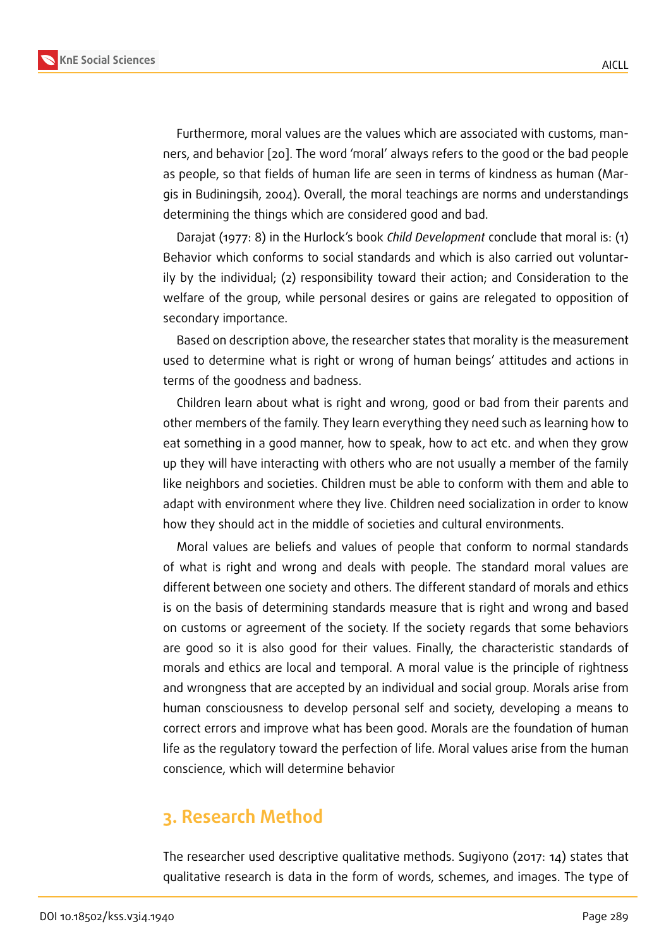Furthermore, moral values are the values which are associated with customs, manners, and behavior [20]. The word 'moral' always refers to the good or the bad people as people, so that fields of human life are seen in terms of kindness as human (Margis in Budiningsih, 2004). Overall, the moral teachings are norms and understandings determining the thi[ngs](#page-7-0) which are considered good and bad.

Darajat (1977: 8) in the Hurlock's book *Child Development* conclude that moral is: (1) Behavior which conforms to social standards and which is also carried out voluntarily by the individual; (2) responsibility toward their action; and Consideration to the welfare of the group, while personal desires or gains are relegated to opposition of secondary importance.

Based on description above, the researcher states that morality is the measurement used to determine what is right or wrong of human beings' attitudes and actions in terms of the goodness and badness.

Children learn about what is right and wrong, good or bad from their parents and other members of the family. They learn everything they need such as learning how to eat something in a good manner, how to speak, how to act etc. and when they grow up they will have interacting with others who are not usually a member of the family like neighbors and societies. Children must be able to conform with them and able to adapt with environment where they live. Children need socialization in order to know how they should act in the middle of societies and cultural environments.

Moral values are beliefs and values of people that conform to normal standards of what is right and wrong and deals with people. The standard moral values are different between one society and others. The different standard of morals and ethics is on the basis of determining standards measure that is right and wrong and based on customs or agreement of the society. If the society regards that some behaviors are good so it is also good for their values. Finally, the characteristic standards of morals and ethics are local and temporal. A moral value is the principle of rightness and wrongness that are accepted by an individual and social group. Morals arise from human consciousness to develop personal self and society, developing a means to correct errors and improve what has been good. Morals are the foundation of human life as the regulatory toward the perfection of life. Moral values arise from the human conscience, which will determine behavior

### **3. Research Method**

The researcher used descriptive qualitative methods. Sugiyono (2017: 14) states that qualitative research is data in the form of words, schemes, and images. The type of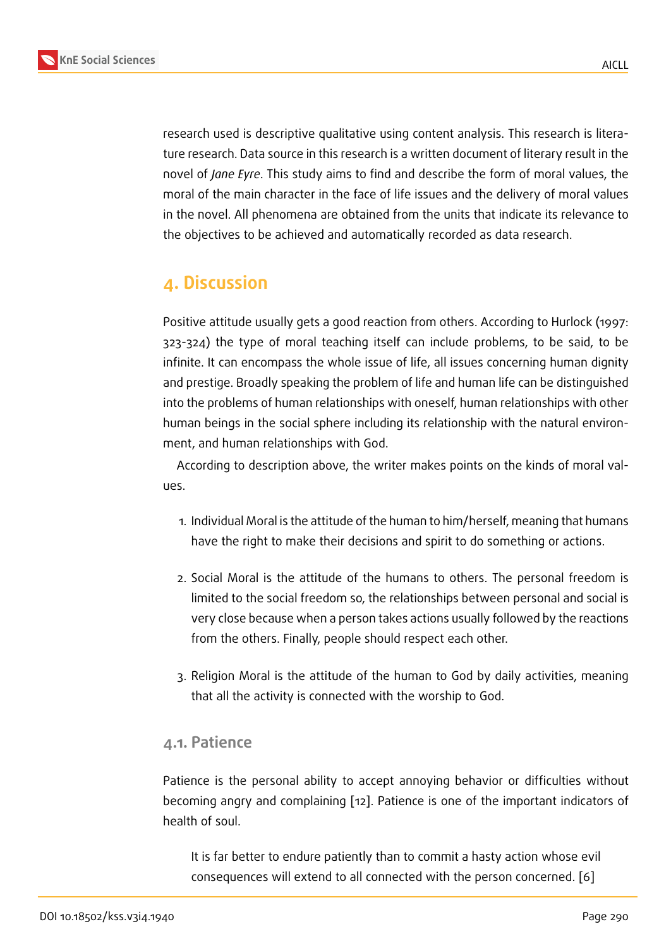research used is descriptive qualitative using content analysis. This research is literature research. Data source in this research is a written document of literary result in the novel of *Jane Eyre*. This study aims to find and describe the form of moral values, the moral of the main character in the face of life issues and the delivery of moral values in the novel. All phenomena are obtained from the units that indicate its relevance to the objectives to be achieved and automatically recorded as data research.

### **4. Discussion**

Positive attitude usually gets a good reaction from others. According to Hurlock (1997: 323-324) the type of moral teaching itself can include problems, to be said, to be infinite. It can encompass the whole issue of life, all issues concerning human dignity and prestige. Broadly speaking the problem of life and human life can be distinguished into the problems of human relationships with oneself, human relationships with other human beings in the social sphere including its relationship with the natural environment, and human relationships with God.

According to description above, the writer makes points on the kinds of moral values.

- 1. Individual Moral is the attitude of the human to him/herself, meaning that humans have the right to make their decisions and spirit to do something or actions.
- 2. Social Moral is the attitude of the humans to others. The personal freedom is limited to the social freedom so, the relationships between personal and social is very close because when a person takes actions usually followed by the reactions from the others. Finally, people should respect each other.
- 3. Religion Moral is the attitude of the human to God by daily activities, meaning that all the activity is connected with the worship to God.

### **4.1. Patience**

Patience is the personal ability to accept annoying behavior or difficulties without becoming angry and complaining [12]. Patience is one of the important indicators of health of soul.

It is far better to endure patie[ntly](#page-7-1) than to commit a hasty action whose evil consequences will extend to all connected with the person concerned. [6]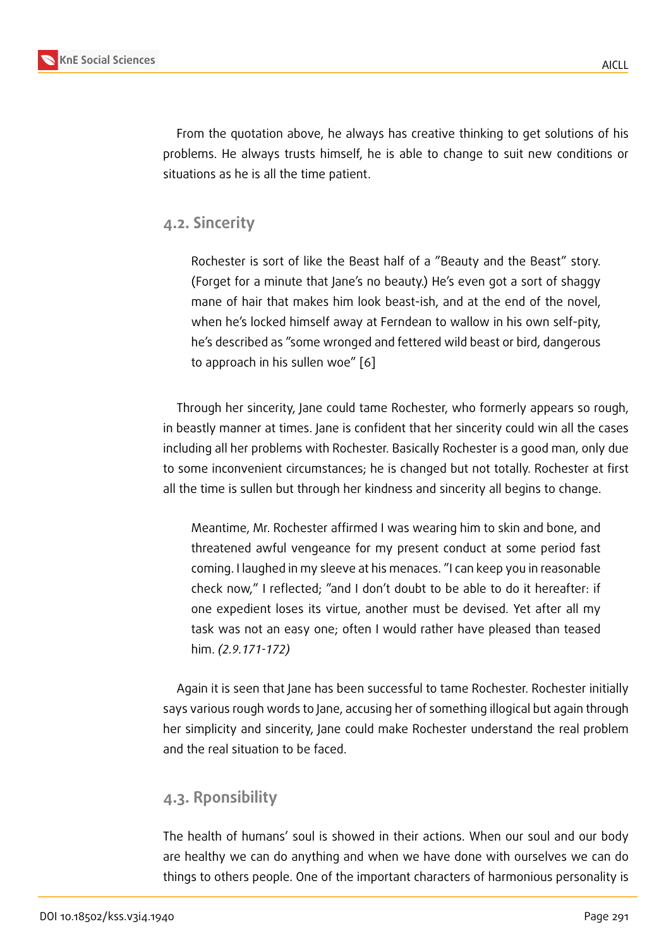From the quotation above, he always has creative thinking to get solutions of his problems. He always trusts himself, he is able to change to suit new conditions or situations as he is all the time patient.

### **4.2. Sincerity**

Rochester is sort of like the Beast half of a "Beauty and the Beast" story. (Forget for a minute that Jane's no beauty.) He's even got a sort of shaggy mane of hair that makes him look beast-ish, and at the end of the novel, when he's locked himself away at Ferndean to wallow in his own self-pity, he's described as "some wronged and fettered wild beast or bird, dangerous to approach in his sullen woe" [6]

Through her sincerity, Jane could tame Rochester, who formerly appears so rough, in beastly manner at times. Jane is c[on](#page-6-1)fident that her sincerity could win all the cases including all her problems with Rochester. Basically Rochester is a good man, only due to some inconvenient circumstances; he is changed but not totally. Rochester at first all the time is sullen but through her kindness and sincerity all begins to change.

Meantime, Mr. Rochester affirmed I was wearing him to skin and bone, and threatened awful vengeance for my present conduct at some period fast coming. I laughed in my sleeve at his menaces. "I can keep you in reasonable check now," I reflected; "and I don't doubt to be able to do it hereafter: if one expedient loses its virtue, another must be devised. Yet after all my task was not an easy one; often I would rather have pleased than teased him. *(2.9.171-172)*

Again it is seen that Jane has been successful to tame Rochester. Rochester initially says various rough words to Jane, accusing her of something illogical but again through her simplicity and sincerity, Jane could make Rochester understand the real problem and the real situation to be faced.

### **4.3. Rponsibility**

The health of humans' soul is showed in their actions. When our soul and our body are healthy we can do anything and when we have done with ourselves we can do things to others people. One of the important characters of harmonious personality is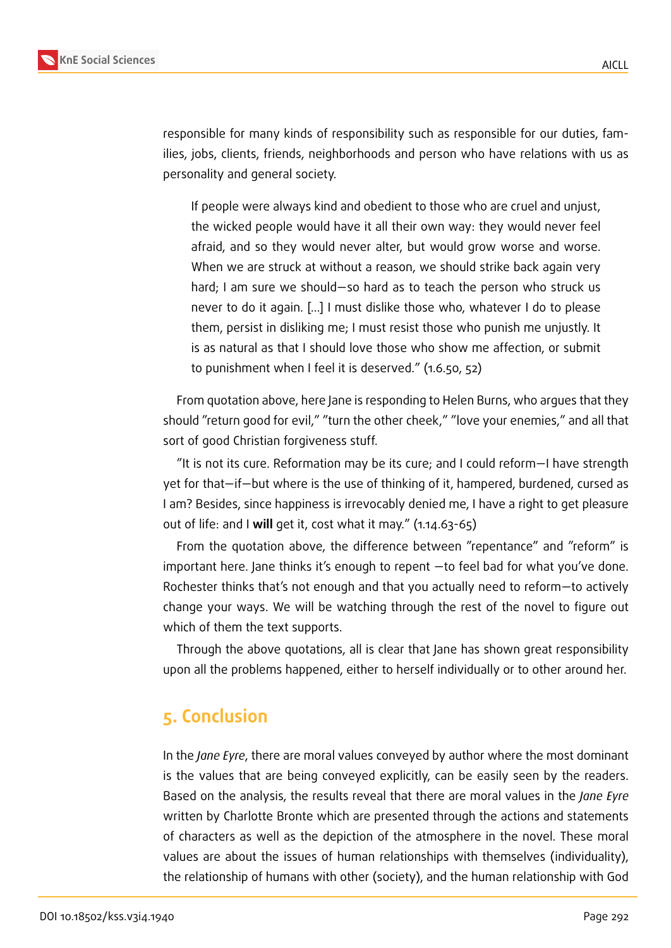

responsible for many kinds of responsibility such as responsible for our duties, families, jobs, clients, friends, neighborhoods and person who have relations with us as personality and general society.

If people were always kind and obedient to those who are cruel and unjust, the wicked people would have it all their own way: they would never feel afraid, and so they would never alter, but would grow worse and worse. When we are struck at without a reason, we should strike back again very hard; I am sure we should—so hard as to teach the person who struck us never to do it again. […] I must dislike those who, whatever I do to please them, persist in disliking me; I must resist those who punish me unjustly. It is as natural as that I should love those who show me affection, or submit to punishment when I feel it is deserved." (1.6.50, 52)

From quotation above, here Jane is responding to Helen Burns, who argues that they should "return good for evil," "turn the other cheek," "love your enemies," and all that sort of good Christian forgiveness stuff.

"It is not its cure. Reformation may be its cure; and I could reform—I have strength yet for that—if—but where is the use of thinking of it, hampered, burdened, cursed as I am? Besides, since happiness is irrevocably denied me, I have a right to get pleasure out of life: and I **will** get it, cost what it may." (1.14.63-65)

From the quotation above, the difference between "repentance" and "reform" is important here. Jane thinks it's enough to repent —to feel bad for what you've done. Rochester thinks that's not enough and that you actually need to reform—to actively change your ways. We will be watching through the rest of the novel to figure out which of them the text supports.

Through the above quotations, all is clear that Jane has shown great responsibility upon all the problems happened, either to herself individually or to other around her.

### **5. Conclusion**

In the *Jane Eyre*, there are moral values conveyed by author where the most dominant is the values that are being conveyed explicitly, can be easily seen by the readers. Based on the analysis, the results reveal that there are moral values in the *Jane Eyre* written by Charlotte Bronte which are presented through the actions and statements of characters as well as the depiction of the atmosphere in the novel. These moral values are about the issues of human relationships with themselves (individuality), the relationship of humans with other (society), and the human relationship with God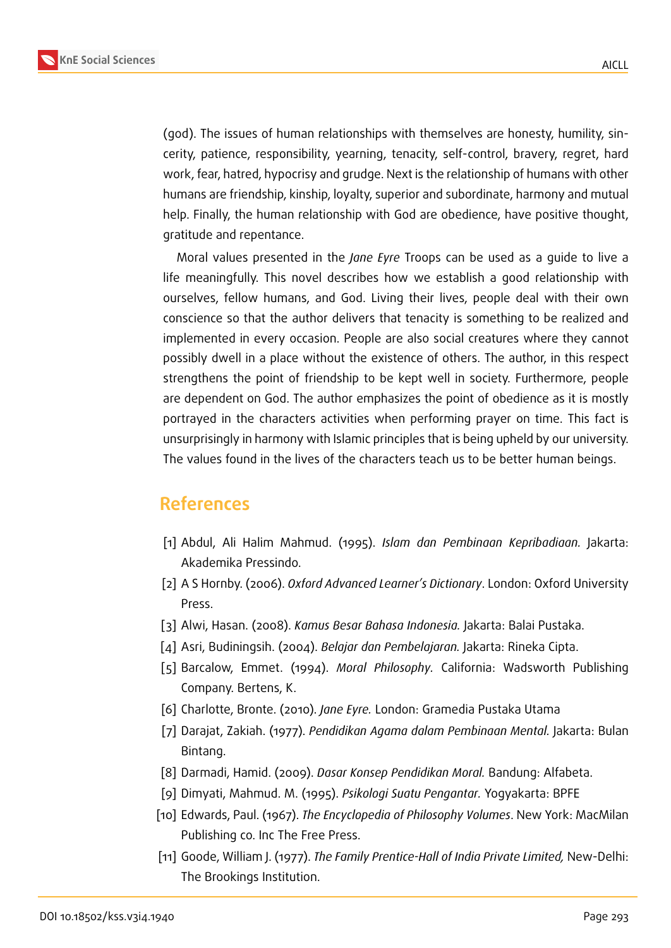

(god). The issues of human relationships with themselves are honesty, humility, sincerity, patience, responsibility, yearning, tenacity, self-control, bravery, regret, hard work, fear, hatred, hypocrisy and grudge. Next is the relationship of humans with other humans are friendship, kinship, loyalty, superior and subordinate, harmony and mutual help. Finally, the human relationship with God are obedience, have positive thought, gratitude and repentance.

Moral values presented in the *Jane Eyre* Troops can be used as a guide to live a life meaningfully. This novel describes how we establish a good relationship with ourselves, fellow humans, and God. Living their lives, people deal with their own conscience so that the author delivers that tenacity is something to be realized and implemented in every occasion. People are also social creatures where they cannot possibly dwell in a place without the existence of others. The author, in this respect strengthens the point of friendship to be kept well in society. Furthermore, people are dependent on God. The author emphasizes the point of obedience as it is mostly portrayed in the characters activities when performing prayer on time. This fact is unsurprisingly in harmony with Islamic principles that is being upheld by our university. The values found in the lives of the characters teach us to be better human beings.

### **References**

- [1] Abdul, Ali Halim Mahmud. (1995). *Islam dan Pembinaan Kepribadiaan.* Jakarta: Akademika Pressindo.
- [2] A S Hornby. (2006). *Oxford Advanced Learner's Dictionary*. London: Oxford University Press.
- <span id="page-6-0"></span>[3] Alwi, Hasan. (2008). *Kamus Besar Bahasa Indonesia.* Jakarta: Balai Pustaka.
- [4] Asri, Budiningsih. (2004). *Belajar dan Pembelajaran.* Jakarta: Rineka Cipta.
- [5] Barcalow, Emmet. (1994). *Moral Philosophy.* California: Wadsworth Publishing Company. Bertens, K.
- <span id="page-6-1"></span>[6] Charlotte, Bronte. (2010). *Jane Eyre.* London: Gramedia Pustaka Utama
- [7] Darajat, Zakiah. (1977). *Pendidikan Agama dalam Pembinaan Mental.* Jakarta: Bulan Bintang.
- [8] Darmadi, Hamid. (2009). *Dasar Konsep Pendidikan Moral.* Bandung: Alfabeta.
- [9] Dimyati, Mahmud. M. (1995). *Psikologi Suatu Pengantar.* Yogyakarta: BPFE
- [10] Edwards, Paul. (1967). *The Encyclopedia of Philosophy Volumes*. New York: MacMilan Publishing co. Inc The Free Press.
- [11] Goode, William J. (1977). *The Family Prentice-Hall of India Private Limited,* New-Delhi: The Brookings Institution.